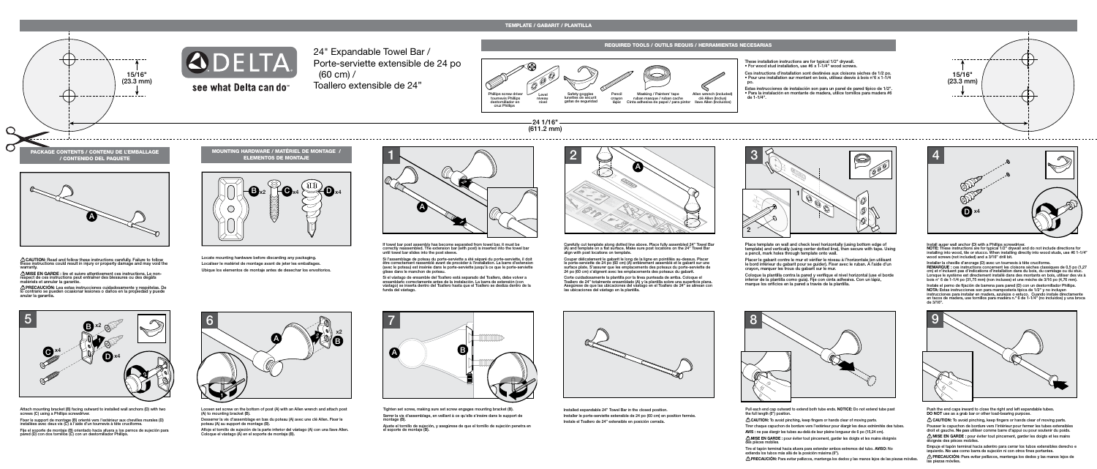$-24$  1/16" $-$ (611.2 mm)

24" Expandable Towel Bar / Porte-serviette extensible de 24 po (60 cm) / Toallero extensible de 24"





# see what Delta can do

### TEMPLATE / GABARIT / PLANTILLA



MOUNTING HARDWARE / MATÉRIEL DE MONTAGE / ELEMENTOS DE MONTAJE



Locate mounting hardware before discarding any packaging. Localiser le matériel de montage avant de jeter les emballages. Ubique los elementos de montaje antes de desechar los envoltorios.

**CAUTION:** Read and follow these instructions carefully. Failure to follow these instructions could result in injury or property damage and may void the warranty.

**MISE EN GARDE :** lire et suivre attentivement ces instructions. Le nonrespect de ces instructions peut entraîner des blessures ou des dégâts matériels et annuler la garantie.

<u>∕'\</u>)PRECAUCION: Lea estas instrucciones cuidadosamente y respételas. De<br>lo contrario se pueden ocasionar lesiones o daños en la propiedad y puede<br>anular la garantía.

### REQUIRED TOOLS / OUTILS REQUIS / HERRAMIENTAS NECESARIAS



These installation instructions are for typical 1/2" drywall. • For wood stud installation, use #6 x 1-1/4" wood screws.

Ces instructions d'installation sont destinées aux cloisons sèches de 1/2 po. • Pour une installation sur montant en bois, utilisez desvis à bois n°6 x 1-1/4 po.

Estas instrucciones de instalación son para un panel de pared típico de 1/2". • Para la instalación en montante de madera, utilice tornillos para madera #6 de 1-1/4".



Si l'assemblage de poteau du porte-serviette a été séparé du porte-serviette, il doit être correctement rassemblé avant de procéder à l'installation. La barre d'extension (avec le poteau) est insérée dans le porte-serviette jusqu'à ce que le porte-serviette glisse dans le manchon de potea



Placer le gabarit contre le mur et vérifier le niveau à l'horizontale (en utilisant le bord inférieur du gabarit pour se guider). Fixer avec le ruban. À l'aide d'un crayon, marquer les trous du gabarit sur le mur.

Install auger wall anchor (D) with a Phillips screwdriver. **NOTE:** These instructions are for typical 1/2" drywall and do not include directions for<br>installing into wood, tile or stucco. When installing directly into wood studs, use #6 1-1/4"<br>wood screws (not included) and a 3/16"

Attach mounting bracket (B) facing outward to installed wall anchors (D) with two screws (C) using a Phillips screwdrive

Tighten set screw, making sure set screw engages mounting bracket (B). Serrer la vis d'assemblage, en veillant à ce qu'elle s'insère dans le support de montage (B).

Pull each end cap outward to extend both tube ends. **NOTICE:** Do not extend tube past the full length (6") position

CAUTION: To avoid pinching, keep fingers or hands clear of moving parts.

Carefully cut template along dotted line above. Place fully assembled 24" Towel Bar (A) and template on a flat surface. Make sure post locations on the 24" Towel Bar align with post locations on template.

Couper délicatement le gabarit le long de la ligne en pointillés au-dessus. Placer le porte-serviette de 24 po (60 cm) (A) entièrement assemblé et le gabarit sur une surface plate. S'assurer que les emplacements des poteaux du porte-serviette de 24 po (60 cm) s'alignent avec les emplacements des poteaux du gabarit.

Corte cuidadosamente la plantilla por la línea punteada de arriba. Coloque el Toallero de 24" totalmente ensamblado (A) y la plantilla sobre una superficie plana. Asegúrese de que las ubicaciones del vástago en el Toallero de 24" se alinean con las ubicaciones del vástago en la plantilla.









If towel bar post assembly has become separated from towel bar, it must be correctly reassembled. The extension bar (with post) is inserted into the towel bar until towel bar slides into the post sleeve.

Si el vástago de ensamble del Toallero está separado del Toallero, debe volver a ensamblarlo correctamente antes de la instalación. La barra de extensión (con vástago) se inserta dentro del Toallero hasta que el Toallero se desliza dentro de la funda del vástago.



Place template on wall and check level horizontally (using bottom edge of template) and vertically (using center dotted line), then secure with tape. Using a pencil, mark holes through template onto wall.

Coloque la plantilla contra la pared y verifique el nivel horizontal (use el borde inferior de la plantilla como guía). Fije con cinta adhesiva. Con un lápiz, marque los orificios en la pared a través de la plantilla.



Installed expandable 24" Towel Bar in the closed position. Installer le porte-serviette extensible de 24 po (60 cm) en position fermée. Instale el Toallero de 24" extensible en posición cerrada.





Installer la cheville d'ancrage (D) avec un tournevis à tête cruciforme.

- 
- **REMARQUE :** ces instructions concernent les cloisons sèches classiques de 0,5 po (1,27 cm) et n'incluent pas d'indications d'installation dans du bois, du carrelage ou du stuc. Lorsque le système est directement installé dans des montants en bois, utiliser des vis à bois n° 6 de 1-1/4 po (31,75 mm) (non incluses) et une mèche de 3/16 po (4,76 mm).
- Instale el perno de fijación de barrena para pared (D) con un destornillador Phillips. **NOTA:** Estas instrucciones son para mampostería típica de 1/2" y no incluyen instrucciones para instalar en madera, azulejos o estuco. Cuando instale directamente

en tacos de madera, use tornillos para madera n.º 6 de 1-1/4" (no incluidos) y una broca de 3/16".



Fixer le support de montage (B) orienté vers l'extérieur aux chevilles murales (D) installées avec deux vis (C) à l'aide d'un tournevis à tête cruciforme.

Fije el soporte de montaje (B) orientado hacia afuera a los pernos de sujeción para pared (D) con dos tornillos (C) con un destornillador Phillips.

Loosen set screw on the bottom of post (A) with an Allen wrench and attach post (A) to mounting bracket (B).

Desserrer la vis d'assemblage en bas du poteau (A) avec une clé Allen. Fixer le poteau (A) au support de montage (B).

Afloje el tornillo de sujeción de la parte inferior del vástago (A) con una llave Allen. Coloque el vástago (A) en el soporte de montaje (B).

Ajuste el tornillo de sujeción, y asegúrese de que el tornillo de sujeción penetra en el soporte de montaje (B).

Tirer chaque capuchon de bordure vers l'extérieur pour élargir les deux extrémités des tubes. **AVIS :** ne pas élargir les tubes au-delà de leur pleine longueur de 6 po (15,24 cm).

**MISE EN GARDE :** pour éviter tout pincement, garder les doigts et les mains éloignés des pièces mobiles.

Tire el tapón terminal hacia afuera para extender ambos extremos del tubo. **AVISO:** No extienda los tubos más allá de la posición máxima (6").

**PRECAUCIÓN:** Para evitar pellizcos, mantenga los dedos y las manos lejos de las piezas móviles.

- Push the end caps inward to close the right and left expandable tubes.
	-
- Pousser le capuchon de bordure vers l'intérieur pour fermer les tubes extensibles droit et gauche. **Ne pas** utiliser comme barre d'appui ou pour soutenir du poids. **MISE EN GARDE :** pour éviter tout pincement, garder les doigts et les mains
	-

**DO NOT** use as a grab bar or other load-bearing purpose. **CAUTION:** To avoid pinching, keep fingers or hands clear of moving parts. éloignés des pièces mobiles.

Empuje el tapón terminal hacia adentro para cerrar los tubos extensibles derecho e izquierdo. **No use** como barra de sujeción ni con otros fines portantes. **1** PRECAUCIÓN: Para evitar pellizcos, mantenga los dedos y las manos lejos de las piezas móviles.